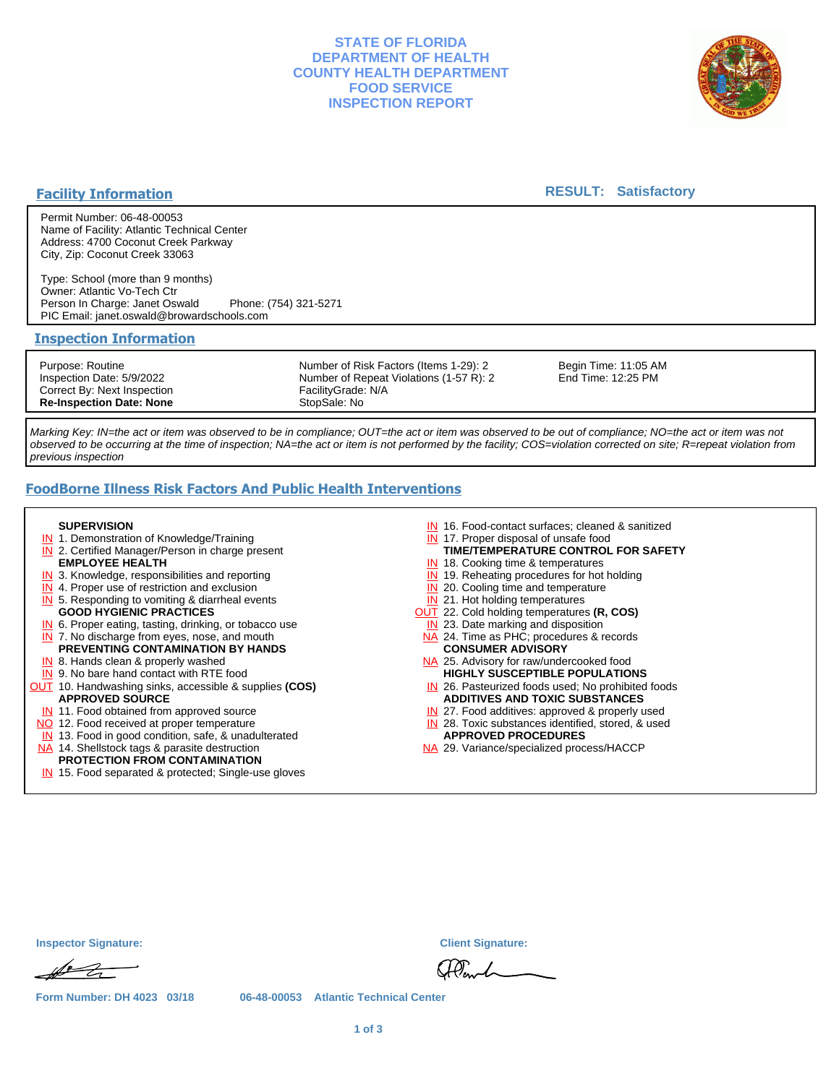## **STATE OF FLORIDA DEPARTMENT OF HEALTH COUNTY HEALTH DEPARTMENT FOOD SERVICE INSPECTION REPORT**



## **Facility Information**

### **RESULT: Satisfactory**

Permit Number: 06-48-00053 Name of Facility: Atlantic Technical Center Address: 4700 Coconut Creek Parkway City, Zip: Coconut Creek 33063

Type: School (more than 9 months) Owner: Atlantic Vo-Tech Ctr Person In Charge: Janet Oswald Phone: (754) 321-5271 PIC Email: janet.oswald@browardschools.com

#### **Inspection Information**

Purpose: Routine Inspection Date: 5/9/2022 Correct By: Next Inspection **Re-Inspection Date: None**

Number of Risk Factors (Items 1-29): 2 Number of Repeat Violations (1-57 R): 2 FacilityGrade: N/A StopSale: No

Begin Time: 11:05 AM End Time: 12:25 PM

Marking Key: IN=the act or item was observed to be in compliance; OUT=the act or item was observed to be out of compliance; NO=the act or item was not observed to be occurring at the time of inspection; NA=the act or item is not performed by the facility; COS=violation corrected on site; R=repeat violation from previous inspection

# **FoodBorne Illness Risk Factors And Public Health Interventions**

#### **SUPERVISION**

- **IN** 1. Demonstration of Knowledge/Training
- **IN** 2. Certified Manager/Person in charge present **EMPLOYEE HEALTH**
- **IN** 3. Knowledge, responsibilities and reporting
- **IN** 4. Proper use of restriction and exclusion
- **IN** 5. Responding to vomiting & diarrheal events
- **GOOD HYGIENIC PRACTICES**
- **IN** 6. Proper eating, tasting, drinking, or tobacco use **IN** 7. No discharge from eyes, nose, and mouth
- **PREVENTING CONTAMINATION BY HANDS**
- IN 8. Hands clean & properly washed
- **IN** 9. No bare hand contact with RTE food OUT 10. Handwashing sinks, accessible & supplies **(COS) APPROVED SOURCE**
	- **IN** 11. Food obtained from approved source
- NO 12. Food received at proper temperature
- IN 13. Food in good condition, safe, & unadulterated
- NA 14. Shellstock tags & parasite destruction

# **PROTECTION FROM CONTAMINATION**

IN 15. Food separated & protected; Single-use gloves

- IN 16. Food-contact surfaces; cleaned & sanitized
- IN 17. Proper disposal of unsafe food
- **TIME/TEMPERATURE CONTROL FOR SAFETY**
- IN 18. Cooking time & temperatures
- **IN** 19. Reheating procedures for hot holding
- **IN** 20. Cooling time and temperature
- IN 21. Hot holding temperatures
- OUT 22. Cold holding temperatures **(R, COS)**
- **IN** 23. Date marking and disposition NA 24. Time as PHC; procedures & records **CONSUMER ADVISORY**
- NA 25. Advisory for raw/undercooked food **HIGHLY SUSCEPTIBLE POPULATIONS**
- IN 26. Pasteurized foods used; No prohibited foods **ADDITIVES AND TOXIC SUBSTANCES**
- IN 27. Food additives: approved & properly used
- IN 28. Toxic substances identified, stored, & used **APPROVED PROCEDURES**
- NA 29. Variance/specialized process/HACCP

| <b>Inspector Signature:</b> |  |
|-----------------------------|--|
| $\mathscr{A}$               |  |

**Inspector Signature: Client Signature:**

Planch

**Form Number: DH 4023 03/18 06-48-00053 Atlantic Technical Center**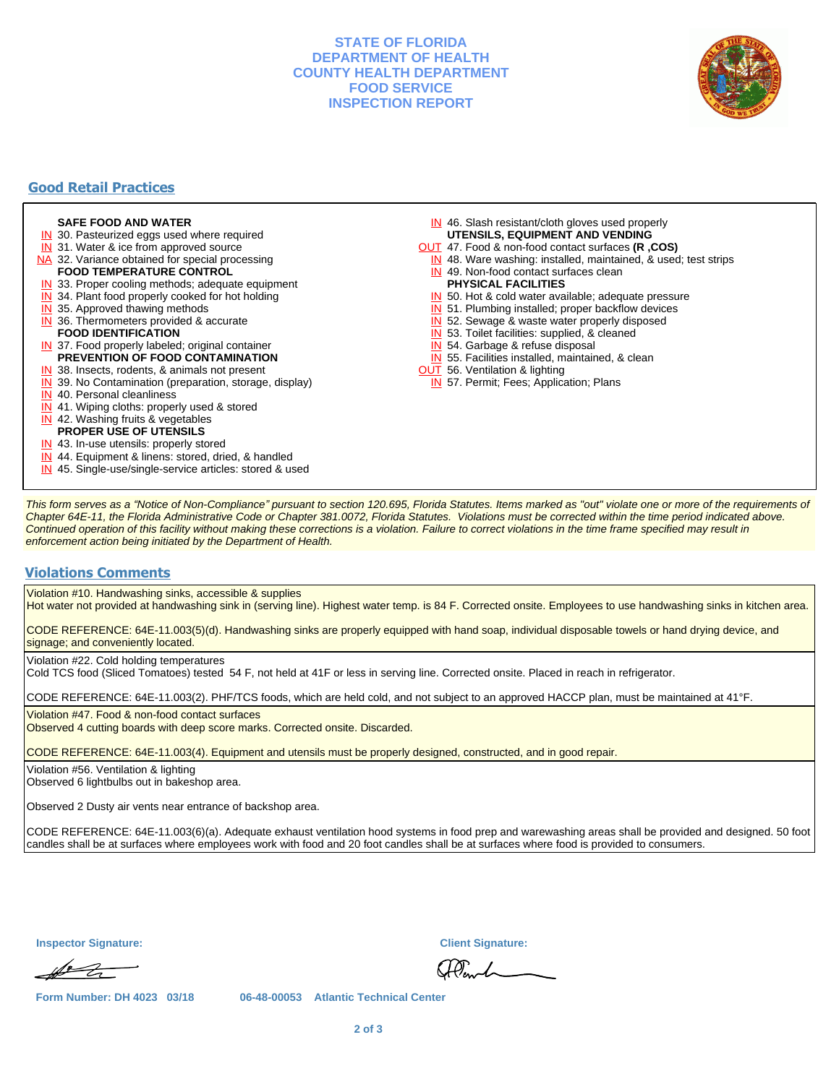## **STATE OF FLORIDA DEPARTMENT OF HEALTH COUNTY HEALTH DEPARTMENT FOOD SERVICE INSPECTION REPORT**



# **Good Retail Practices**

#### **SAFE FOOD AND WATER**

- **IN** 30. Pasteurized eggs used where required
- IN 31. Water & ice from approved source
- NA 32. Variance obtained for special processing
- **FOOD TEMPERATURE CONTROL**
- **IN** 33. Proper cooling methods; adequate equipment
- **IN** 34. Plant food properly cooked for hot holding
- **IN** 35. Approved thawing methods
- IN 36. Thermometers provided & accurate **FOOD IDENTIFICATION**
- IN 37. Food properly labeled; original container **PREVENTION OF FOOD CONTAMINATION**
- IN 38. Insects, rodents, & animals not present
- **IN** 39. No Contamination (preparation, storage, display)
- IN 40. Personal cleanliness
- IN 41. Wiping cloths: properly used & stored
- IN 42. Washing fruits & vegetables
- **PROPER USE OF UTENSILS**
- IN 43. In-use utensils: properly stored
- IN 44. Equipment & linens: stored, dried, & handled
- IN 45. Single-use/single-service articles: stored & used
- IN 46. Slash resistant/cloth gloves used properly **UTENSILS, EQUIPMENT AND VENDING**
- OUT 47. Food & non-food contact surfaces **(R ,COS)**
- IN 48. Ware washing: installed, maintained, & used; test strips
- IN 49. Non-food contact surfaces clean
- **PHYSICAL FACILITIES**
- IN 50. Hot & cold water available; adequate pressure
- IN 51. Plumbing installed; proper backflow devices
- IN 52. Sewage & waste water properly disposed
- IN 53. Toilet facilities: supplied, & cleaned
- IN 54. Garbage & refuse disposal
- IN 55. Facilities installed, maintained, & clean
- **OUT** 56. Ventilation & lighting
- IN 57. Permit; Fees; Application; Plans

This form serves as a "Notice of Non-Compliance" pursuant to section 120.695, Florida Statutes. Items marked as "out" violate one or more of the requirements of Chapter 64E-11, the Florida Administrative Code or Chapter 381.0072, Florida Statutes. Violations must be corrected within the time period indicated above. Continued operation of this facility without making these corrections is a violation. Failure to correct violations in the time frame specified may result in enforcement action being initiated by the Department of Health.

#### **Violations Comments**

Violation #10. Handwashing sinks, accessible & supplies

Hot water not provided at handwashing sink in (serving line). Highest water temp. is 84 F. Corrected onsite. Employees to use handwashing sinks in kitchen area.

CODE REFERENCE: 64E-11.003(5)(d). Handwashing sinks are properly equipped with hand soap, individual disposable towels or hand drying device, and signage; and conveniently located.

Violation #22. Cold holding temperatures

Cold TCS food (Sliced Tomatoes) tested 54 F, not held at 41F or less in serving line. Corrected onsite. Placed in reach in refrigerator.

CODE REFERENCE: 64E-11.003(2). PHF/TCS foods, which are held cold, and not subject to an approved HACCP plan, must be maintained at 41°F.

Violation #47. Food & non-food contact surfaces

Observed 4 cutting boards with deep score marks. Corrected onsite. Discarded.

CODE REFERENCE: 64E-11.003(4). Equipment and utensils must be properly designed, constructed, and in good repair.

Violation #56. Ventilation & lighting

Observed 6 lightbulbs out in bakeshop area.

Observed 2 Dusty air vents near entrance of backshop area.

CODE REFERENCE: 64E-11.003(6)(a). Adequate exhaust ventilation hood systems in food prep and warewashing areas shall be provided and designed. 50 foot candles shall be at surfaces where employees work with food and 20 foot candles shall be at surfaces where food is provided to consumers.

**Inspector Signature: Client Signature:**

 $\mathscr{A}$ 

Planch

**Form Number: DH 4023 03/18 06-48-00053 Atlantic Technical Center**